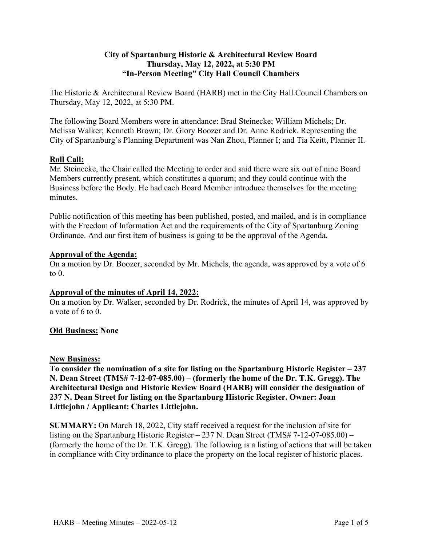# **City of Spartanburg Historic & Architectural Review Board Thursday, May 12, 2022, at 5:30 PM "In-Person Meeting" City Hall Council Chambers**

The Historic & Architectural Review Board (HARB) met in the City Hall Council Chambers on Thursday, May 12, 2022, at 5:30 PM.

The following Board Members were in attendance: Brad Steinecke; William Michels; Dr. Melissa Walker; Kenneth Brown; Dr. Glory Boozer and Dr. Anne Rodrick. Representing the City of Spartanburg's Planning Department was Nan Zhou, Planner I; and Tia Keitt, Planner II.

# **Roll Call:**

Mr. Steinecke, the Chair called the Meeting to order and said there were six out of nine Board Members currently present, which constitutes a quorum; and they could continue with the Business before the Body. He had each Board Member introduce themselves for the meeting minutes.

Public notification of this meeting has been published, posted, and mailed, and is in compliance with the Freedom of Information Act and the requirements of the City of Spartanburg Zoning Ordinance. And our first item of business is going to be the approval of the Agenda.

### **Approval of the Agenda:**

On a motion by Dr. Boozer, seconded by Mr. Michels, the agenda, was approved by a vote of 6 to  $0$ .

### **Approval of the minutes of April 14, 2022:**

On a motion by Dr. Walker, seconded by Dr. Rodrick, the minutes of April 14, was approved by a vote of 6 to 0.

# **Old Business: None**

### **New Business:**

**To consider the nomination of a site for listing on the Spartanburg Historic Register – 237 N. Dean Street (TMS# 7-12-07-085.00) – (formerly the home of the Dr. T.K. Gregg). The Architectural Design and Historic Review Board (HARB) will consider the designation of 237 N. Dean Street for listing on the Spartanburg Historic Register. Owner: Joan Littlejohn / Applicant: Charles Littlejohn.**

**SUMMARY:** On March 18, 2022, City staff received a request for the inclusion of site for listing on the Spartanburg Historic Register – 237 N. Dean Street (TMS# 7-12-07-085.00) – (formerly the home of the Dr. T.K. Gregg). The following is a listing of actions that will be taken in compliance with City ordinance to place the property on the local register of historic places.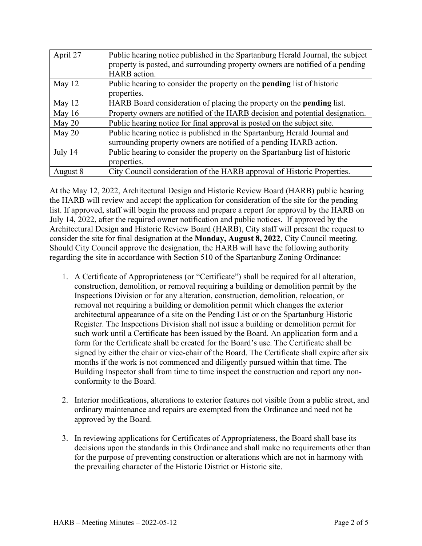| April 27 | Public hearing notice published in the Spartanburg Herald Journal, the subject |
|----------|--------------------------------------------------------------------------------|
|          | property is posted, and surrounding property owners are notified of a pending  |
|          | HARB action.                                                                   |
| May 12   | Public hearing to consider the property on the <b>pending</b> list of historic |
|          | properties.                                                                    |
| May $12$ | HARB Board consideration of placing the property on the <b>pending</b> list.   |
| May $16$ | Property owners are notified of the HARB decision and potential designation.   |
| May $20$ | Public hearing notice for final approval is posted on the subject site.        |
| May $20$ | Public hearing notice is published in the Spartanburg Herald Journal and       |
|          | surrounding property owners are notified of a pending HARB action.             |
| July 14  | Public hearing to consider the property on the Spartanburg list of historic    |
|          | properties.                                                                    |
| August 8 | City Council consideration of the HARB approval of Historic Properties.        |

At the May 12, 2022, Architectural Design and Historic Review Board (HARB) public hearing the HARB will review and accept the application for consideration of the site for the pending list. If approved, staff will begin the process and prepare a report for approval by the HARB on July 14, 2022, after the required owner notification and public notices. If approved by the Architectural Design and Historic Review Board (HARB), City staff will present the request to consider the site for final designation at the **Monday, August 8, 2022**, City Council meeting. Should City Council approve the designation, the HARB will have the following authority regarding the site in accordance with Section 510 of the Spartanburg Zoning Ordinance:

- 1. A Certificate of Appropriateness (or "Certificate") shall be required for all alteration, construction, demolition, or removal requiring a building or demolition permit by the Inspections Division or for any alteration, construction, demolition, relocation, or removal not requiring a building or demolition permit which changes the exterior architectural appearance of a site on the Pending List or on the Spartanburg Historic Register. The Inspections Division shall not issue a building or demolition permit for such work until a Certificate has been issued by the Board. An application form and a form for the Certificate shall be created for the Board's use. The Certificate shall be signed by either the chair or vice-chair of the Board. The Certificate shall expire after six months if the work is not commenced and diligently pursued within that time. The Building Inspector shall from time to time inspect the construction and report any nonconformity to the Board.
- 2. Interior modifications, alterations to exterior features not visible from a public street, and ordinary maintenance and repairs are exempted from the Ordinance and need not be approved by the Board.
- 3. In reviewing applications for Certificates of Appropriateness, the Board shall base its decisions upon the standards in this Ordinance and shall make no requirements other than for the purpose of preventing construction or alterations which are not in harmony with the prevailing character of the Historic District or Historic site.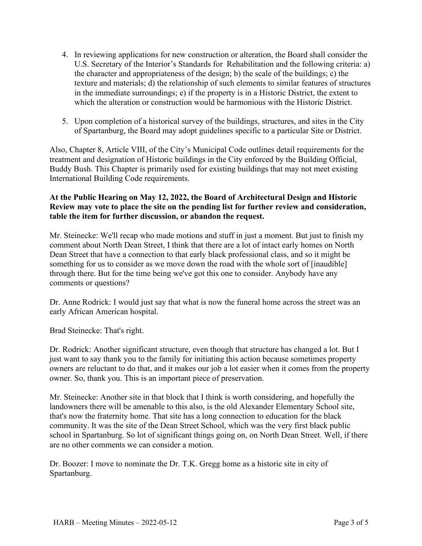- 4. In reviewing applications for new construction or alteration, the Board shall consider the U.S. Secretary of the Interior's Standards for Rehabilitation and the following criteria: a) the character and appropriateness of the design; b) the scale of the buildings; c) the texture and materials; d) the relationship of such elements to similar features of structures in the immediate surroundings; e) if the property is in a Historic District, the extent to which the alteration or construction would be harmonious with the Historic District.
- 5. Upon completion of a historical survey of the buildings, structures, and sites in the City of Spartanburg, the Board may adopt guidelines specific to a particular Site or District.

Also, Chapter 8, Article VIII, of the City's Municipal Code outlines detail requirements for the treatment and designation of Historic buildings in the City enforced by the Building Official, Buddy Bush. This Chapter is primarily used for existing buildings that may not meet existing International Building Code requirements.

# **At the Public Hearing on May 12, 2022, the Board of Architectural Design and Historic Review may vote to place the site on the pending list for further review and consideration, table the item for further discussion, or abandon the request.**

Mr. Steinecke: We'll recap who made motions and stuff in just a moment. But just to finish my comment about North Dean Street, I think that there are a lot of intact early homes on North Dean Street that have a connection to that early black professional class, and so it might be something for us to consider as we move down the road with the whole sort of [inaudible] through there. But for the time being we've got this one to consider. Anybody have any comments or questions?

Dr. Anne Rodrick: I would just say that what is now the funeral home across the street was an early African American hospital.

Brad Steinecke: That's right.

Dr. Rodrick: Another significant structure, even though that structure has changed a lot. But I just want to say thank you to the family for initiating this action because sometimes property owners are reluctant to do that, and it makes our job a lot easier when it comes from the property owner. So, thank you. This is an important piece of preservation.

Mr. Steinecke: Another site in that block that I think is worth considering, and hopefully the landowners there will be amenable to this also, is the old Alexander Elementary School site, that's now the fraternity home. That site has a long connection to education for the black community. It was the site of the Dean Street School, which was the very first black public school in Spartanburg. So lot of significant things going on, on North Dean Street. Well, if there are no other comments we can consider a motion.

Dr. Boozer: I move to nominate the Dr. T.K. Gregg home as a historic site in city of Spartanburg.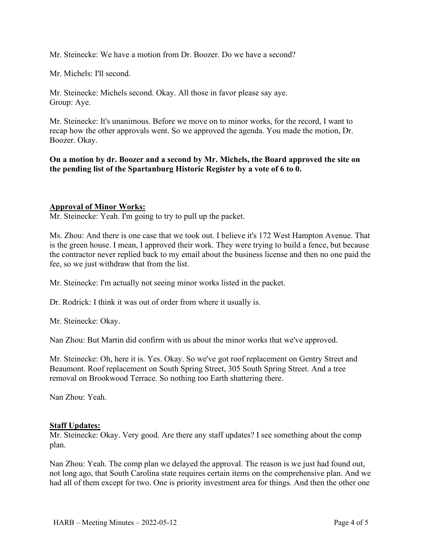Mr. Steinecke: We have a motion from Dr. Boozer. Do we have a second?

Mr. Michels: I'll second.

Mr. Steinecke: Michels second. Okay. All those in favor please say aye. Group: Aye.

Mr. Steinecke: It's unanimous. Before we move on to minor works, for the record, I want to recap how the other approvals went. So we approved the agenda. You made the motion, Dr. Boozer. Okay.

**On a motion by dr. Boozer and a second by Mr. Michels, the Board approved the site on the pending list of the Spartanburg Historic Register by a vote of 6 to 0.** 

### **Approval of Minor Works:**

Mr. Steinecke: Yeah. I'm going to try to pull up the packet.

Ms. Zhou: And there is one case that we took out. I believe it's 172 West Hampton Avenue. That is the green house. I mean, I approved their work. They were trying to build a fence, but because the contractor never replied back to my email about the business license and then no one paid the fee, so we just withdraw that from the list.

Mr. Steinecke: I'm actually not seeing minor works listed in the packet.

Dr. Rodrick: I think it was out of order from where it usually is.

Mr. Steinecke: Okay.

Nan Zhou: But Martin did confirm with us about the minor works that we've approved.

Mr. Steinecke: Oh, here it is. Yes. Okay. So we've got roof replacement on Gentry Street and Beaumont. Roof replacement on South Spring Street, 305 South Spring Street. And a tree removal on Brookwood Terrace. So nothing too Earth shattering there.

Nan Zhou: Yeah.

### **Staff Updates:**

Mr. Steinecke: Okay. Very good. Are there any staff updates? I see something about the comp plan.

Nan Zhou: Yeah. The comp plan we delayed the approval. The reason is we just had found out, not long ago, that South Carolina state requires certain items on the comprehensive plan. And we had all of them except for two. One is priority investment area for things. And then the other one